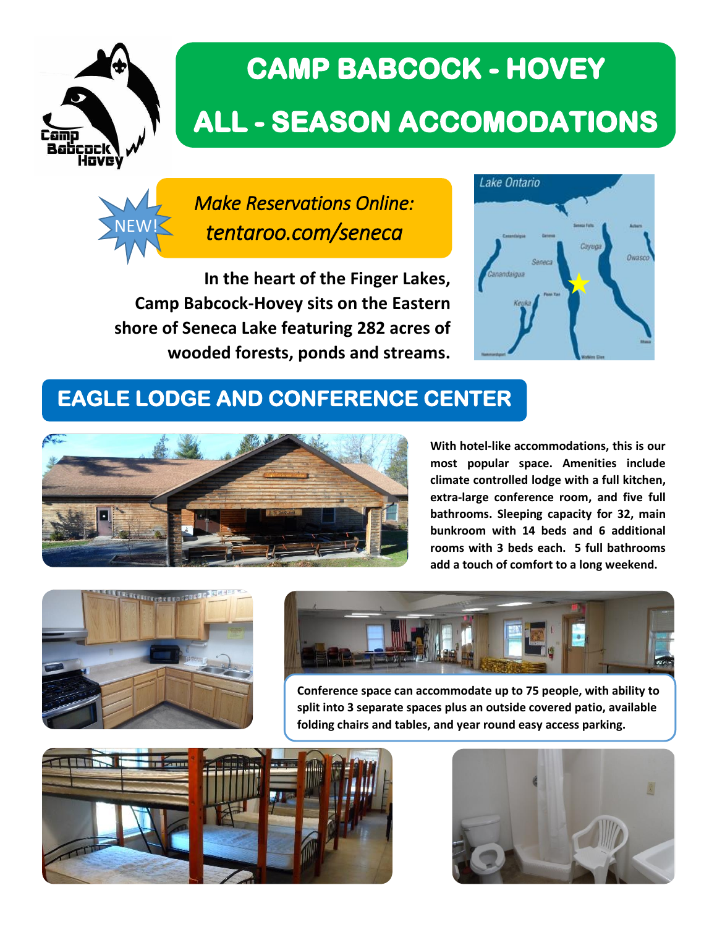

# **CAMP BABCOCK - HOVEY ALL - SEASON ACCOMODATIONS**



*Make Reservations Online: tentaroo.com/seneca* 

**In the heart of the Finger Lakes, Camp Babcock-Hovey sits on the Eastern shore of Seneca Lake featuring 282 acres of wooded forests, ponds and streams.** 



## **EAGLE LODGE AND CONFERENCE CENTER**



**With hotel-like accommodations, this is our most popular space. Amenities include climate controlled lodge with a full kitchen, extra-large conference room, and five full bathrooms. Sleeping capacity for 32, main bunkroom with 14 beds and 6 additional rooms with 3 beds each. 5 full bathrooms add a touch of comfort to a long weekend.** 





**Conference space can accommodate up to 75 people, with ability to split into 3 separate spaces plus an outside covered patio, available folding chairs and tables, and year round easy access parking.**